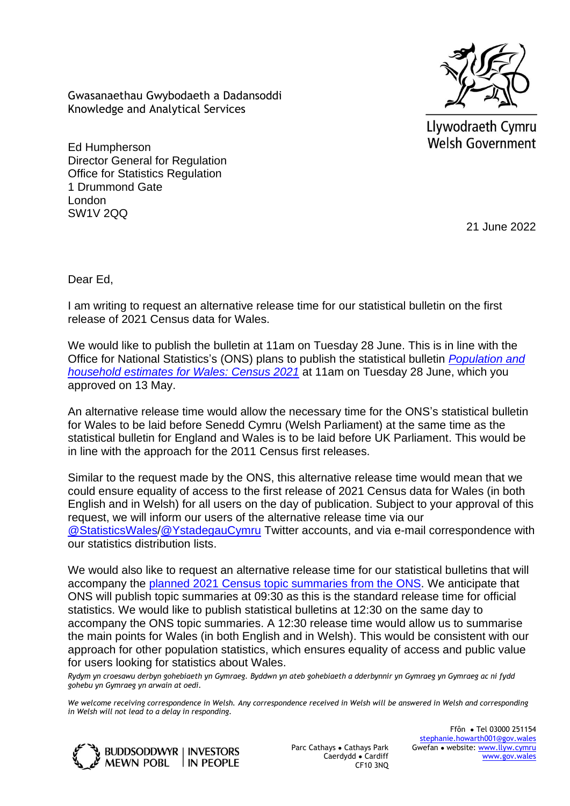Gwasanaethau Gwybodaeth a Dadansoddi Knowledge and Analytical Services



Llywodraeth Cymru **Welsh Government** 

Ed Humpherson Director General for Regulation Office for Statistics Regulation 1 Drummond Gate London SW1V 2QQ

21 June 2022

Dear Ed,

I am writing to request an alternative release time for our statistical bulletin on the first release of 2021 Census data for Wales.

We would like to publish the bulletin at 11am on Tuesday 28 June. This is in line with the Office for National Statistics's (ONS) plans to publish the statistical bulletin *[Population and](https://www.ons.gov.uk/releases/initialfindingsfromthe2021censusinenglandandwales)  household [estimates for Wales: Census 2021](https://www.ons.gov.uk/releases/initialfindingsfromthe2021censusinenglandandwales)* at 11am on Tuesday 28 June, which you approved on 13 May.

An alternative release time would allow the necessary time for the ONS's statistical bulletin for Wales to be laid before Senedd Cymru (Welsh Parliament) at the same time as the statistical bulletin for England and Wales is to be laid before UK Parliament. This would be in line with the approach for the 2011 Census first releases.

Similar to the request made by the ONS, this alternative release time would mean that we could ensure equality of access to the first release of 2021 Census data for Wales (in both English and in Welsh) for all users on the day of publication. Subject to your approval of this request, we will inform our users of the alternative release time via our [@StatisticsWales/](https://twitter.com/StatisticsWales)[@YstadegauCymru](https://twitter.com/ystadegaucymru) Twitter accounts, and via e-mail correspondence with our statistics distribution lists.

We would also like to request an alternative release time for our statistical bulletins that will accompany the [planned 2021 Census topic summaries from the ONS.](https://www.ons.gov.uk/census/censustransformationprogramme/census2021outputs/releaseplans) We anticipate that ONS will publish topic summaries at 09:30 as this is the standard release time for official statistics. We would like to publish statistical bulletins at 12:30 on the same day to accompany the ONS topic summaries. A 12:30 release time would allow us to summarise the main points for Wales (in both English and in Welsh). This would be consistent with our approach for other population statistics, which ensures equality of access and public value for users looking for statistics about Wales.

*Rydym yn croesawu derbyn gohebiaeth yn Gymraeg. Byddwn yn ateb gohebiaeth a dderbynnir yn Gymraeg yn Gymraeg ac ni fydd gohebu yn Gymraeg yn arwain at oedi.* 

*We welcome receiving correspondence in Welsh. Any correspondence received in Welsh will be answered in Welsh and corresponding in Welsh will not lead to a delay in responding.* 



Parc Cathays ● Cathays Park Caerdydd ● Cardiff CF10 3NQ